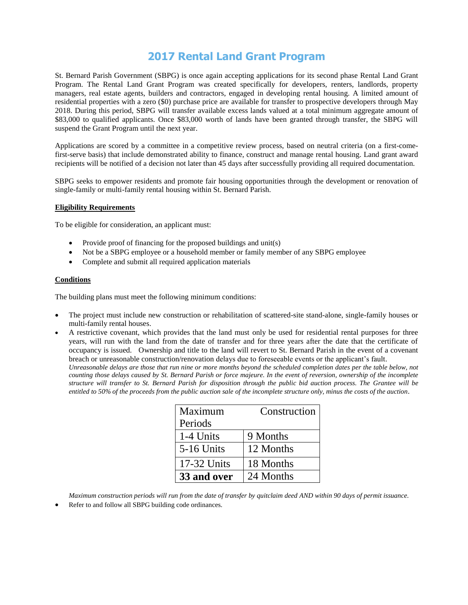# **2017 Rental Land Grant Program**

St. Bernard Parish Government (SBPG) is once again accepting applications for its second phase Rental Land Grant Program. The Rental Land Grant Program was created specifically for developers, renters, landlords, property managers, real estate agents, builders and contractors, engaged in developing rental housing. A limited amount of residential properties with a zero (\$0) purchase price are available for transfer to prospective developers through May 2018. During this period, SBPG will transfer available excess lands valued at a total minimum aggregate amount of \$83,000 to qualified applicants. Once \$83,000 worth of lands have been granted through transfer, the SBPG will suspend the Grant Program until the next year.

Applications are scored by a committee in a competitive review process, based on neutral criteria (on a first-comefirst-serve basis) that include demonstrated ability to finance, construct and manage rental housing. Land grant award recipients will be notified of a decision not later than 45 days after successfully providing all required documentation.

SBPG seeks to empower residents and promote fair housing opportunities through the development or renovation of single-family or multi-family rental housing within St. Bernard Parish.

#### **Eligibility Requirements**

To be eligible for consideration, an applicant must:

- Provide proof of financing for the proposed buildings and unit(s)
- Not be a SBPG employee or a household member or family member of any SBPG employee
- Complete and submit all required application materials

#### **Conditions**

The building plans must meet the following minimum conditions:

- The project must include new construction or rehabilitation of scattered-site stand-alone, single-family houses or multi-family rental houses.
- A restrictive covenant, which provides that the land must only be used for residential rental purposes for three years, will run with the land from the date of transfer and for three years after the date that the certificate of occupancy is issued. Ownership and title to the land will revert to St. Bernard Parish in the event of a covenant breach or unreasonable construction/renovation delays due to foreseeable events or the applicant's fault.

*Unreasonable delays are those that run nine or more months beyond the scheduled completion dates per the table below, not counting those delays caused by St. Bernard Parish or force majeure. In the event of reversion, ownership of the incomplete structure will transfer to St. Bernard Parish for disposition through the public bid auction process. The Grantee will be entitled to 50% of the proceeds from the public auction sale of the incomplete structure only, minus the costs of the auction*.

| Maximum           | Construction |
|-------------------|--------------|
| Periods           |              |
| 1-4 Units         | 9 Months     |
| <b>5-16 Units</b> | 12 Months    |
| 17-32 Units       | 18 Months    |
| 33 and over       | 24 Months    |

*Maximum construction periods will run from the date of transfer by quitclaim deed AND within 90 days of permit issuance.*

Refer to and follow all SBPG building code ordinances.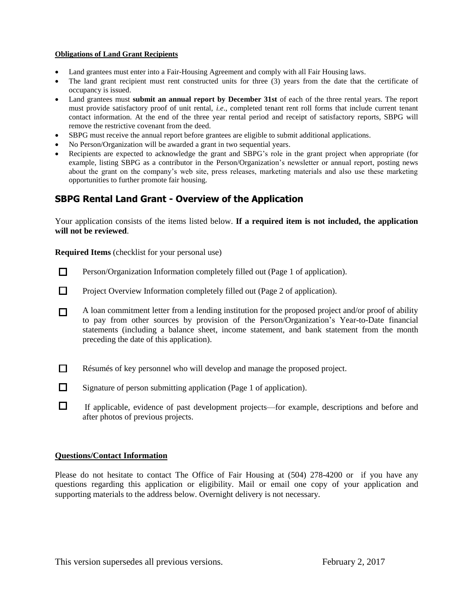#### **Obligations of Land Grant Recipients**

- Land grantees must enter into a Fair-Housing Agreement and comply with all Fair Housing laws.
- The land grant recipient must rent constructed units for three (3) years from the date that the certificate of occupancy is issued.
- Land grantees must **submit an annual report by December 31st** of each of the three rental years. The report must provide satisfactory proof of unit rental, *i.e*., completed tenant rent roll forms that include current tenant contact information. At the end of the three year rental period and receipt of satisfactory reports, SBPG will remove the restrictive covenant from the deed.
- SBPG must receive the annual report before grantees are eligible to submit additional applications.
- No Person/Organization will be awarded a grant in two sequential years.
- Recipients are expected to acknowledge the grant and SBPG's role in the grant project when appropriate (for example, listing SBPG as a contributor in the Person/Organization's newsletter or annual report, posting news about the grant on the company's web site, press releases, marketing materials and also use these marketing opportunities to further promote fair housing.

## **SBPG Rental Land Grant - Overview of the Application**

Your application consists of the items listed below. **If a required item is not included, the application will not be reviewed**.

**Required Items** (checklist for your personal use)

- $\Box$ Person/Organization Information completely filled out (Page 1 of application).
- $\Box$ Project Overview Information completely filled out (Page 2 of application).
- A loan commitment letter from a lending institution for the proposed project and/or proof of ability  $\Box$ to pay from other sources by provision of the Person/Organization's Year-to-Date financial statements (including a balance sheet, income statement, and bank statement from the month preceding the date of this application).
- $\Box$ Résumés of key personnel who will develop and manage the proposed project.
- $\Box$ Signature of person submitting application (Page 1 of application).
- $\Box$ If applicable, evidence of past development projects—for example, descriptions and before and after photos of previous projects.

#### **Questions/Contact Information**

Please do not hesitate to contact The Office of Fair Housing at (504) 278-4200 or if you have any questions regarding this application or eligibility. Mail or email one copy of your application and supporting materials to the address below. Overnight delivery is not necessary.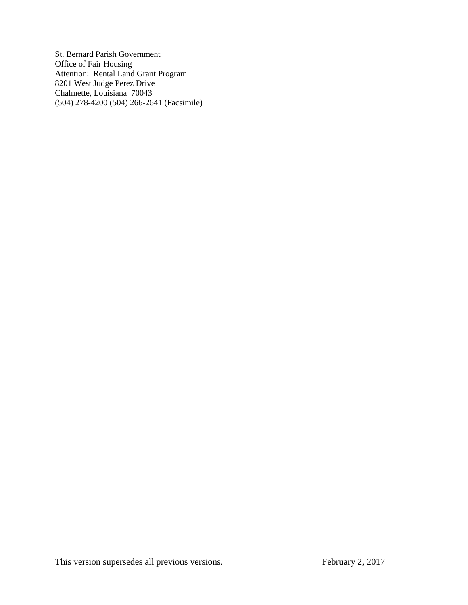St. Bernard Parish Government Office of Fair Housing Attention: Rental Land Grant Program 8201 West Judge Perez Drive Chalmette, Louisiana 70043 (504) 278-4200 (504) 266-2641 (Facsimile)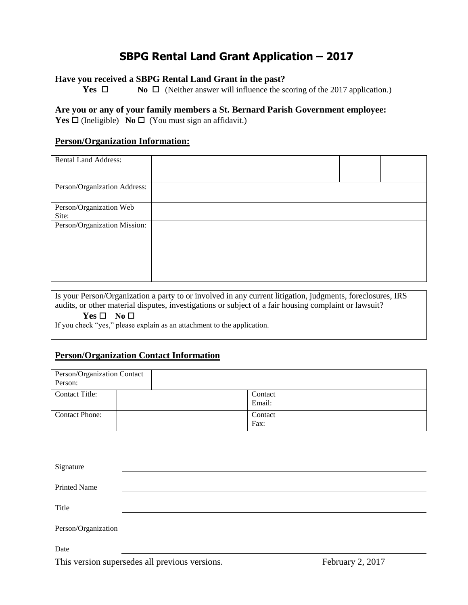# **SBPG Rental Land Grant Application – 2017**

### **Have you received a SBPG Rental Land Grant in the past?**

**Yes**  $\Box$  **No**  $\Box$  (Neither answer will influence the scoring of the 2017 application.)

## **Are you or any of your family members a St. Bernard Parish Government employee: Yes**  $\Box$  (Ineligible) **No**  $\Box$  (You must sign an affidavit.)

## **Person/Organization Information:**

| <b>Rental Land Address:</b>      |  |  |
|----------------------------------|--|--|
| Person/Organization Address:     |  |  |
| Person/Organization Web<br>Site: |  |  |
| Person/Organization Mission:     |  |  |

Is your Person/Organization a party to or involved in any current litigation, judgments, foreclosures, IRS audits, or other material disputes, investigations or subject of a fair housing complaint or lawsuit?  $Yes \Box No \Box$ 

If you check "yes," please explain as an attachment to the application.

## **Person/Organization Contact Information**

| Person/Organization Contact<br>Person: |                   |  |
|----------------------------------------|-------------------|--|
| Contact Title:                         | Contact<br>Email: |  |
| <b>Contact Phone:</b>                  | Contact<br>Fax:   |  |

| Signature           |                                                |                  |
|---------------------|------------------------------------------------|------------------|
|                     |                                                |                  |
| <b>Printed Name</b> |                                                |                  |
|                     |                                                |                  |
| Title               |                                                |                  |
| Person/Organization |                                                |                  |
|                     |                                                |                  |
| Date                |                                                |                  |
|                     | This version supersedes all previous versions. | February 2, 2017 |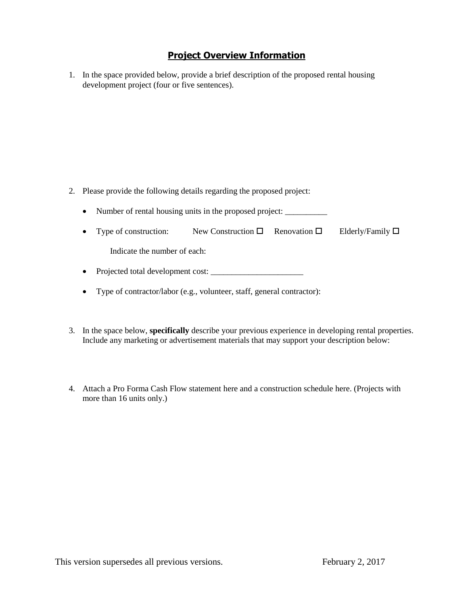## **Project Overview Information**

1. In the space provided below, provide a brief description of the proposed rental housing development project (four or five sentences).

- 2. Please provide the following details regarding the proposed project:
	- Number of rental housing units in the proposed project: \_\_\_\_\_\_\_\_\_\_\_\_\_\_\_\_\_\_\_\_\_\_
	- Type of construction: New Construction  $\Box$  Renovation  $\Box$  Elderly/Family  $\Box$

Indicate the number of each:

- Projected total development cost:
- Type of contractor/labor (e.g., volunteer, staff, general contractor):
- 3. In the space below, **specifically** describe your previous experience in developing rental properties. Include any marketing or advertisement materials that may support your description below:
- 4. Attach a Pro Forma Cash Flow statement here and a construction schedule here. (Projects with more than 16 units only.)